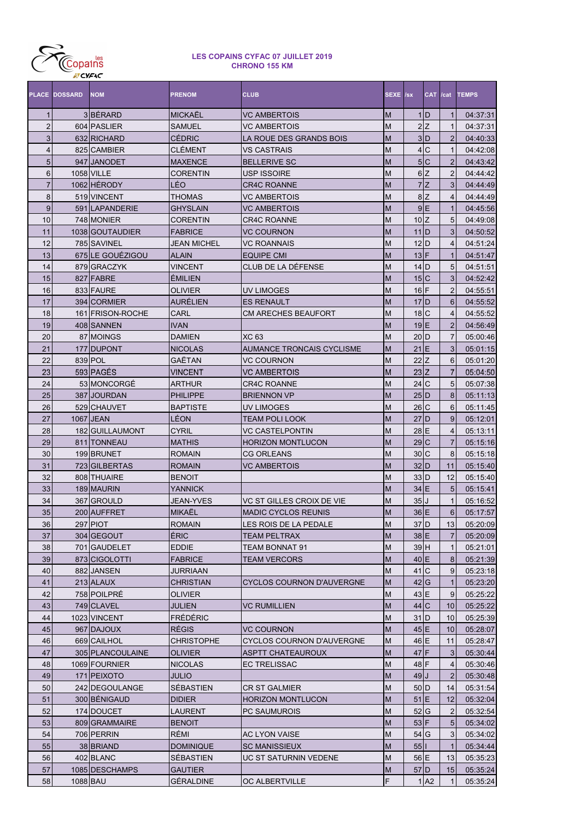

|                | <b>PLACE DOSSARD</b> | <b>NOM</b>        | <b>PRENOM</b>    | <b>CLUB</b>                      | SEXE /sx  |                                | <b>CAT</b> | /cat             | <b>TEMPS</b> |
|----------------|----------------------|-------------------|------------------|----------------------------------|-----------|--------------------------------|------------|------------------|--------------|
| 1              |                      | 3BÉRARD           | MICKAËL          | <b>VC AMBERTOIS</b>              | M         |                                | $1$ D      | $\mathbf{1}$     | 04:37:31     |
| $\overline{2}$ |                      | 604 PASLIER       | SAMUEL           | <b>VC AMBERTOIS</b>              | M         |                                | 2Z         | $\mathbf{1}$     | 04:37:31     |
| 3              |                      | 632 RICHARD       | <b>CÉDRIC</b>    | LA ROUE DES GRANDS BOIS          | M         |                                | 3 D        | $\overline{2}$   | 04:40:33     |
| 4              |                      | 825 CAMBIER       | CLEMENT          | <b>VS CASTRAIS</b>               | M         |                                | 4C         | $\mathbf{1}$     | 04:42:08     |
| 5              |                      | 947 JANODET       | <b>MAXENCE</b>   | <b>BELLERIVE SC</b>              | M         |                                | 5C         | $\overline{2}$   | 04:43:42     |
| 6              |                      | <b>1058 VILLE</b> | CORENTIN         | <b>USP ISSOIRE</b>               | M         |                                | 6Z         | $\overline{2}$   | 04:44:42     |
| $\overline{7}$ |                      | 1062 HÉRODY       | LÉO              | <b>CR4C ROANNE</b>               | M         |                                | 7Z         | 3                | 04:44:49     |
| 8              |                      | 519 VINCENT       | THOMAS           | <b>VC AMBERTOIS</b>              | M         |                                | 8Z         | 4                | 04:44:49     |
| 9              |                      | 591 LAPANDERIE    | <b>GHYSLAIN</b>  | <b>VC AMBERTOIS</b>              | M         |                                | 9E         | $\mathbf{1}$     | 04:45:56     |
| 10             |                      | 748 MONIER        | CORENTIN         | <b>CR4C ROANNE</b>               | M         | $10\overline{Z}$               |            | 5                | 04:49:08     |
| 11             |                      | 1038 GOUTAUDIER   | <b>FABRICE</b>   | <b>VC COURNON</b>                | M         | $11$ D                         |            | 3                | 04:50:52     |
| 12             |                      | 785 SAVINEL       | JEAN MICHEL      | <b>VC ROANNAIS</b>               | M         | $12$ <sub>D</sub>              |            | 4                | 04:51:24     |
| 13             |                      | 675 LE GOUEZIGOU  | ALAIN            | <b>EQUIPE CMI</b>                | M         | $13$ F                         |            | $\mathbf{1}$     | 04:51:47     |
| 14             |                      | 879 GRACZYK       | VINCENT          | CLUB DE LA DÉFENSE               | M         | $14$ D                         |            | 5                | 04:51:51     |
| 15             |                      | 827 FABRE         | <b>ÉMILIEN</b>   |                                  | M         | 15 C                           |            | 3                | 04:52:42     |
| 16             |                      | 833 FAURE         | OLIVIER          | <b>UV LIMOGES</b>                | M         | $16$ F                         |            | 2                | 04:55:51     |
| 17             |                      | 394 CORMIER       | AURÉLIEN         | <b>ES RENAULT</b>                | M         | $17$ $D$                       |            | 6                | 04:55:52     |
| 18             |                      | 161 FRISON-ROCHE  | CARL             | <b>CM ARECHES BEAUFORT</b>       | M         | 18 <sub>C</sub>                |            | 4                | 04:55:52     |
| 19             |                      | 408 SANNEN        | <b>IVAN</b>      |                                  | M         | $19$ E                         |            | 2                | 04:56:49     |
| 20             |                      | 87 MOINGS         | <b>DAMIEN</b>    | <b>XC 63</b>                     | M         | $20$ $D$                       |            | $\overline{7}$   | 05:00:46     |
| 21             |                      | 177 DUPONT        | <b>NICOLAS</b>   | <b>AUMANCE TRONCAIS CYCLISME</b> | M         | $21$ <sup><math>E</math></sup> |            | 3                | 05:01:15     |
| 22             |                      | 839 POL           | GAËTAN           | <b>VC COURNON</b>                | M         | 22 Z                           |            | 6                | 05:01:20     |
| 23             |                      | 593 PAGÉS         | VINCENT          | <b>VC AMBERTOIS</b>              | M         | 23 Z                           |            | $\overline{7}$   | 05:04:50     |
| 24             |                      | 53 MONCORGÉ       | ARTHUR           | <b>CR4C ROANNE</b>               | M         | 24C                            |            | 5                | 05:07:38     |
| 25             |                      | 387 JOURDAN       | <b>PHILIPPE</b>  | <b>BRIENNON VP</b>               | M         | 25 D                           |            | 8                | 05:11:13     |
| 26             |                      | 529 CHAUVET       | <b>BAPTISTE</b>  | <b>UV LIMOGES</b>                | M         | 26 C                           |            | 6                | 05:11:45     |
| 27             |                      | 1067 JEAN         | LÉON             | <b>TEAM POLI LOOK</b>            | M         | $27$ D                         |            | 9                | 05:12:01     |
| 28             |                      | 182 GUILLAUMONT   | <b>CYRIL</b>     | <b>VC CASTELPONTIN</b>           | M         | $28$ <sub>E</sub>              |            | $\overline{4}$   | 05:13:11     |
| 29             |                      | 811   TONNEAU     | <b>MATHIS</b>    | <b>HORIZON MONTLUCON</b>         | M         | 29C                            |            | $\overline{7}$   | 05:15:16     |
| 30             |                      | 199 BRUNET        | <b>ROMAIN</b>    | <b>CG ORLEANS</b>                | M         | 30 C                           |            | 8                | 05:15:18     |
| 31             |                      | 723 GILBERTAS     | <b>ROMAIN</b>    | <b>VC AMBERTOIS</b>              | M         | 32 D                           |            | 11               | 05:15:40     |
| 32             |                      | 808 THUAIRE       | <b>BENOIT</b>    |                                  | M         | $33$ $D$                       |            | 12               | 05:15:40     |
| 33             |                      | 189 MAURIN        | <b>YANNICK</b>   |                                  | M         | $34$ E                         |            | 5                | 05:15:41     |
| 34             |                      | 367 GROULD        | JEAN-YVES        | VC ST GILLES CROIX DE VIE        | M         | 35 J                           |            | 1                | 05:16:52     |
| 35             |                      | 200 AUFFRET       | MIKAËL           | <b>MADIC CYCLOS REUNIS</b>       | M         | 36 E                           |            | $6 \overline{6}$ | 05:17:57     |
| 36             |                      | 297 PIOT          | <b>ROMAIN</b>    | LES ROIS DE LA PEDALE            | M         | $37$ $D$                       |            | 13 <sub>l</sub>  | 05:20:09     |
| 37             |                      | 304 GEGOUT        | ÉRIC             | <b>TEAM PELTRAX</b>              | M         | $38$ E                         |            | $\overline{7}$   | 05:20:09     |
| 38             |                      | 701 GAUDELET      | <b>EDDIE</b>     | <b>TEAM BONNAT 91</b>            | M         | 39H                            |            | $\mathbf{1}$     | 05:21:01     |
| 39             |                      | 873 CIGOLOTTI     | <b>FABRICE</b>   | <b>TEAM VERCORS</b>              | ${\sf M}$ | $40 \text{E}$                  |            | 8                | 05:21:39     |
| 40             |                      | 882 JANSEN        | JURRIAAN         |                                  | ${\sf M}$ | 41C                            |            | 9                | 05:23:18     |
| 41             |                      | 213 ALAUX         | CHRISTIAN        | <b>CYCLOS COURNON D'AUVERGNE</b> | M         | 42 G                           |            | $\mathbf{1}$     | 05:23:20     |
| 42             |                      | 758 POILPRÉ       | OLIVIER          |                                  | M         | 43 E                           |            | 9                | 05:25:22     |
| 43             |                      | 749 CLAVEL        | JULIEN           | <b>VC RUMILLIEN</b>              | ${\sf M}$ | 44 C                           |            | 10               | 05:25:22     |
| 44             |                      | 1023 VINCENT      | <b>FRÉDÉRIC</b>  |                                  | M         | $31$ D                         |            | 10               | 05:25:39     |
| 45             |                      | 967 DAJOUX        | <b>RÉGIS</b>     | <b>VC COURNON</b>                | ${\sf M}$ | $45$ E                         |            | 10               | 05:28:07     |
| 46             |                      | 669 CAILHOL       | CHRISTOPHE       | <b>CYCLOS COURNON D'AUVERGNE</b> | M         | 46 E                           |            | 11               | 05:28:47     |
| 47             |                      | 305 PLANCOULAINE  | OLIVIER          | ASPTT CHATEAUROUX                | ${\sf M}$ | $47$ F                         |            | $\mathbf{3}$     | 05:30:44     |
| 48             |                      | 1069 FOURNIER     | <b>NICOLAS</b>   | <b>EC TRELISSAC</b>              | ${\sf M}$ | 48 F                           |            | 4                | 05:30:46     |
| 49             |                      | 171 PEIXOTO       | <b>JULIO</b>     |                                  | ${\sf M}$ | $49$ J                         |            | $\overline{2}$   | 05:30:48     |
| 50             |                      | 242 DEGOULANGE    | SÉBASTIEN        | <b>CR ST GALMIER</b>             | M         | $50$ D                         |            | 14               | 05:31:54     |
| 51             |                      | 300 BÉNIGAUD      | <b>DIDIER</b>    | <b>HORIZON MONTLUCON</b>         | ${\sf M}$ | $51$ E                         |            | 12               | 05:32:04     |
| 52             |                      | 174 DOUCET        | LAURENT          | <b>PC SAUMUROIS</b>              | M         | 52 G                           |            | $\overline{c}$   | 05:32:54     |
| 53             |                      | 809 GRAMMAIRE     | <b>BENOIT</b>    |                                  | ${\sf M}$ | $53$ F                         |            | $5\overline{)}$  | 05:34:02     |
| 54             |                      | 706 PERRIN        | RÉMI             | <b>AC LYON VAISE</b>             | M         | $54$ G                         |            | 3                | 05:34:02     |
| 55             |                      | 38 BRIAND         | <b>DOMINIQUE</b> | <b>SC MANISSIEUX</b>             | M         | $55$                           |            | $\mathbf{1}$     | 05:34:44     |
| 56             |                      | 402 BLANC         | SÉBASTIEN        | <b>UC ST SATURNIN VEDENE</b>     | M         | 56 E                           |            | 13               | 05:35:23     |
| 57             |                      | 1085 DESCHAMPS    | <b>GAUTIER</b>   |                                  | M         | $57$ D                         |            | 15               | 05:35:24     |
| 58             |                      |                   | GÉRALDINE        |                                  | F         |                                | 1 A2       | $\mathbf{1}$     |              |
|                | 1088 BAU             |                   |                  | OC ALBERTVILLE                   |           |                                |            |                  | 05:35:24     |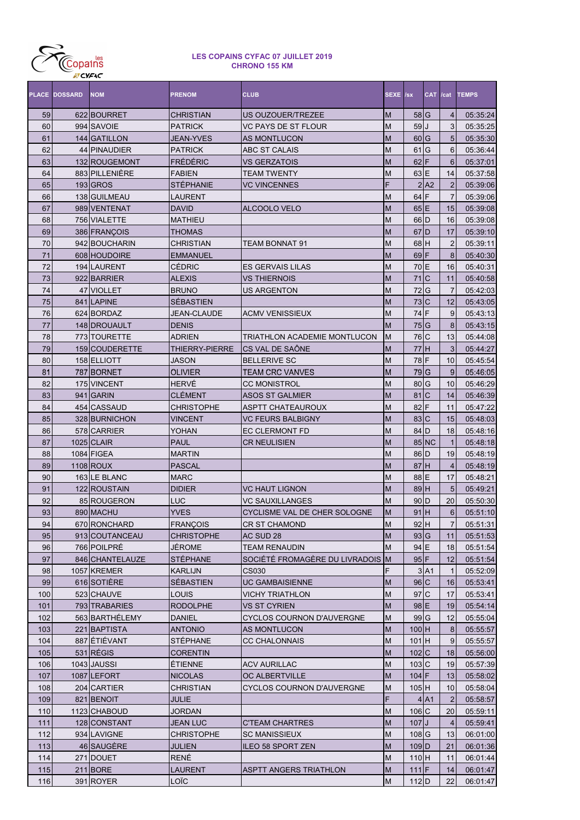

|     | <b>PLACE DOSSARD</b> | <b>NOM</b>      | <b>PRENOM</b>         | <b>CLUB</b>                       | <b>SEXE /sx</b> |                                    | CAT /cat        |                 | <b>TEMPS</b> |
|-----|----------------------|-----------------|-----------------------|-----------------------------------|-----------------|------------------------------------|-----------------|-----------------|--------------|
| 59  |                      | 622 BOURRET     | CHRISTIAN             | US OUZOUER/TREZEE                 | M               | 58 G                               |                 | 4               | 05:35:24     |
| 60  |                      | 994 SAVOIE      | <b>PATRICK</b>        | <b>VC PAYS DE ST FLOUR</b>        | M               | 59                                 |                 | 3               | 05:35:25     |
| 61  |                      | 144 GATILLON    | <b>JEAN-YVES</b>      | <b>AS MONTLUCON</b>               | M               | 60                                 | G               | 5               | 05:35:30     |
| 62  |                      | 44 PINAUDIER    | <b>PATRICK</b>        | ABC ST CALAIS                     | M               | 61                                 | G               | 6               | 05:36:44     |
| 63  |                      | 132 ROUGEMONT   | <b>FRÉDÉRIC</b>       | <b>VS GERZATOIS</b>               | M               | 62                                 | ΙF              | $6\phantom{1}6$ | 05:37:01     |
| 64  |                      | 883 PILLENIÈRE  | <b>FABIEN</b>         | TEAM TWENTY                       | M               | 63                                 | E               | 14              | 05:37:58     |
| 65  |                      | 193 GROS        | STÉPHANIE             | <b>VC VINCENNES</b>               | F               |                                    | 2 A2            | $\overline{2}$  | 05:39:06     |
| 66  |                      | 138 GUILMEAU    | LAURENT               |                                   | M               | 64                                 | F               | $\overline{7}$  | 05:39:06     |
| 67  |                      | 989 VENTENAT    | <b>DAVID</b>          | ALCOOLO VELO                      | $\overline{M}$  | $65$ E                             |                 | 15              | 05:39:08     |
| 68  |                      | 756 VIALETTE    | <b>MATHIEU</b>        |                                   | $\overline{M}$  | $66$ D                             |                 | 16              | 05:39:08     |
| 69  |                      | 386 FRANÇOIS    | THOMAS                |                                   | $\overline{M}$  | $67$ D                             |                 | 17              | 05:39:10     |
| 70  |                      | 942 BOUCHARIN   | <b>CHRISTIAN</b>      | TEAM BONNAT 91                    | $\overline{M}$  | $68$ H                             |                 | $\overline{2}$  | 05:39:11     |
| 71  |                      | 608 HOUDOIRE    | <b>EMMANUEL</b>       |                                   | $\overline{M}$  | $69$ F                             |                 | 8               | 05:40:30     |
| 72  |                      | 194 LAURENT     | <b>CÉDRIC</b>         | <b>ES GERVAIS LILAS</b>           | $\overline{M}$  | 70E                                |                 | 16              | 05:40:31     |
| 73  |                      | 922 BARRIER     | <b>ALEXIS</b>         | <b>VS THIERNOIS</b>               | M               | 71                                 | $\overline{C}$  | 11              | 05:40:58     |
| 74  |                      | 47 VIOLLET      | <b>BRUNO</b>          | <b>US ARGENTON</b>                | M               | 72                                 | G               | $\overline{7}$  | 05:42:03     |
| 75  |                      | 841 LAPINE      | <b>SÉBASTIEN</b>      |                                   | M               | 73 C                               |                 | 12              | 05:43:05     |
| 76  |                      | 624 BORDAZ      | <b>JEAN-CLAUDE</b>    | <b>ACMV VENISSIEUX</b>            | $\overline{M}$  | 74 F                               |                 | 9               | 05:43:13     |
| 77  |                      | 148 DROUAULT    | <b>DENIS</b>          |                                   | M               | 75 G                               |                 | 8               | 05:43:15     |
| 78  |                      | 773 TOURETTE    | <b>ADRIEN</b>         | TRIATHLON ACADEMIE MONTLUCON      | M               | 76 C                               |                 | 13              | 05:44:08     |
| 79  |                      | 159 COUDERETTE  | <b>THIERRY-PIERRE</b> | CS VAL DE SAÔNE                   | M               | 77H                                |                 | 3               | 05:44:27     |
| 80  |                      | 158 ELLIOTT     | JASON                 | <b>BELLERIVE SC</b>               | $\overline{M}$  | 78 F                               |                 | 10              | 05:45:54     |
| 81  |                      | 787 BORNET      | <b>OLIVIER</b>        | <b>TEAM CRC VANVES</b>            | $\overline{M}$  | 79 G                               |                 | 9               | 05:46:05     |
| 82  |                      | 175 VINCENT     | <b>HERVÉ</b>          | <b>CC MONISTROL</b>               | $\overline{M}$  | 80                                 | G               | 10              | 05:46:29     |
| 83  |                      | 941 GARIN       | <b>CLÉMENT</b>        | <b>ASOS ST GALMIER</b>            | M               | 81                                 | $\overline{C}$  | 14              | 05:46:39     |
| 84  |                      | 454 CASSAUD     | <b>CHRISTOPHE</b>     | <b>ASPTT CHATEAUROUX</b>          | M               | 82                                 | F               | 11              | 05:47:22     |
| 85  |                      | 328 BURNICHON   | <b>VINCENT</b>        | <b>VC FEURS BALBIGNY</b>          | M               | 83C                                |                 | 15              | 05:48:03     |
| 86  |                      | 578 CARRIER     | YOHAN                 | <b>EC CLERMONT FD</b>             | M               | 84 D                               |                 | 18              | 05:48:16     |
| 87  |                      | 1025 CLAIR      | <b>PAUL</b>           | <b>CR NEULISIEN</b>               | M               |                                    | 85 NC           | $\mathbf{1}$    | 05:48:18     |
| 88  |                      | 1084 FIGEA      | <b>MARTIN</b>         |                                   | $\overline{M}$  | 86 D                               |                 | 19              | 05:48:19     |
| 89  |                      | 1108 ROUX       | <b>PASCAL</b>         |                                   | M               | 87H                                |                 | $\overline{4}$  | 05:48:19     |
| 90  |                      | 163 LE BLANC    | <b>MARC</b>           |                                   | M               | 88 E                               |                 | 17              | 05:48:21     |
| 91  |                      | 122 ROUSTAIN    | <b>DIDIER</b>         | <b>VC HAUT LIGNON</b>             | M               | 89H                                |                 | 5               | 05:49:21     |
| 92  |                      | 85 ROUGERON     | <b>LUC</b>            | <b>VC SAUXILLANGES</b>            | M               | $90$ <sub>D</sub>                  |                 | 20              | 05:50:30     |
| 93  |                      | 890 MACHU       | <b>YVES</b>           | CYCLISME VAL DE CHER SOLOGNE      | M               | $91$ H                             |                 | 6               | 05:51:10     |
| 94  |                      | 670 RONCHARD    | <b>FRANÇOIS</b>       | <b>CR ST CHAMOND</b>              | M               | $92$ H                             |                 | 7               | 05:51:31     |
| 95  |                      | 913 COUTANCEAU  | <b>CHRISTOPHE</b>     | AC SUD 28                         | M               | 93 G                               |                 | 11              | 05:51:53     |
| 96  |                      | 766 POILPRÉ     | JÉROME                | TEAM RENAUDIN                     | M               | 94 E                               |                 | 18              | 05:51:54     |
| 97  |                      | 846 CHANTELAUZE | STÉPHANE              | SOCIÉTÉ FROMAGÈRE DU LIVRADOIS  M |                 | $95$ F                             |                 | 12              | 05:51:54     |
| 98  |                      | 1057 KREMER     | KARLIJN               | CS030                             | F               |                                    | 3 <sub>A1</sub> | $\mathbf{1}$    | 05:52:09     |
| 99  |                      | 616 SOTIÈRE     | SÉBASTIEN             | <b>UC GAMBAISIENNE</b>            | M               | 96C                                |                 | 16              | 05:53:41     |
| 100 |                      | 523 CHAUVE      | LOUIS                 | <b>VICHY TRIATHLON</b>            | M               | 97C                                |                 | 17              | 05:53:41     |
| 101 |                      | 793 TRABARIES   | <b>RODOLPHE</b>       | VS ST CYRIEN                      | M               | $98$ E                             |                 | 19              | 05:54:14     |
| 102 |                      | 563 BARTHÉLEMY  | <b>DANIEL</b>         | <b>CYCLOS COURNON D'AUVERGNE</b>  | M               | $99$ <sup><math>\mid</math>G</sup> |                 | 12              | 05:55:04     |
| 103 |                      | 221 BAPTISTA    | <b>ANTONIO</b>        | <b>AS MONTLUCON</b>               | M               | $100$ H                            |                 | 8               | 05:55:57     |
| 104 |                      | 887 ÉTIÉVANT    | <b>STÉPHANE</b>       | <b>CC CHALONNAIS</b>              | M               | $101$ H                            |                 | 9               | 05:55:57     |
| 105 |                      | $531$ RÉGIS     | <b>CORENTIN</b>       |                                   | M               | $102$ <sub>C</sub>                 |                 | 18              | 05:56:00     |
| 106 |                      | 1043 JAUSSI     | ÉTIENNE               | <b>ACV AURILLAC</b>               | M               | 103C                               |                 | 19              | 05:57:39     |
| 107 |                      | 1087 LEFORT     | NICOLAS               | OC ALBERTVILLE                    | M               | $104$ F                            |                 | 13              | 05:58:02     |
| 108 |                      | 204 CARTIER     | CHRISTIAN             | <b>CYCLOS COURNON D'AUVERGNE</b>  | M               | 105H                               |                 | 10              | 05:58:04     |
| 109 |                      | 821 BENOIT      | JULIE                 |                                   | F               |                                    | $4$ $A1$        | $\overline{2}$  | 05:58:57     |
| 110 |                      | 1123 CHABOUD    | JORDAN                |                                   | M               | 106 C                              |                 | 20              | 05:59:11     |
| 111 |                      | 128 CONSTANT    | JEAN LUC              | <b>C'TEAM CHARTRES</b>            | M               | $107$ $J$                          |                 | $\overline{4}$  | 05:59:41     |
| 112 |                      | 934 LAVIGNE     | CHRISTOPHE            | <b>SC MANISSIEUX</b>              | M               | 108 G                              |                 | 13              | 06:01:00     |
| 113 |                      | 46 SAUGÈRE      | JULIEN                | ILEO 58 SPORT ZEN                 | M               | $109$ <sub>D</sub>                 |                 | 21              | 06:01:36     |
| 114 |                      | 271 DOUET       | RENÉ                  |                                   | M               | $110$ H                            |                 | 11              | 06:01:44     |
| 115 |                      | $211$ BORE      | LAURENT               | ASPTT ANGERS TRIATHLON            | M               | $111$ F                            |                 | 14              | 06:01:47     |
| 116 |                      | 391 ROYER       | LOÏC                  |                                   | M               | $112$ D                            |                 | 22              | 06:01:47     |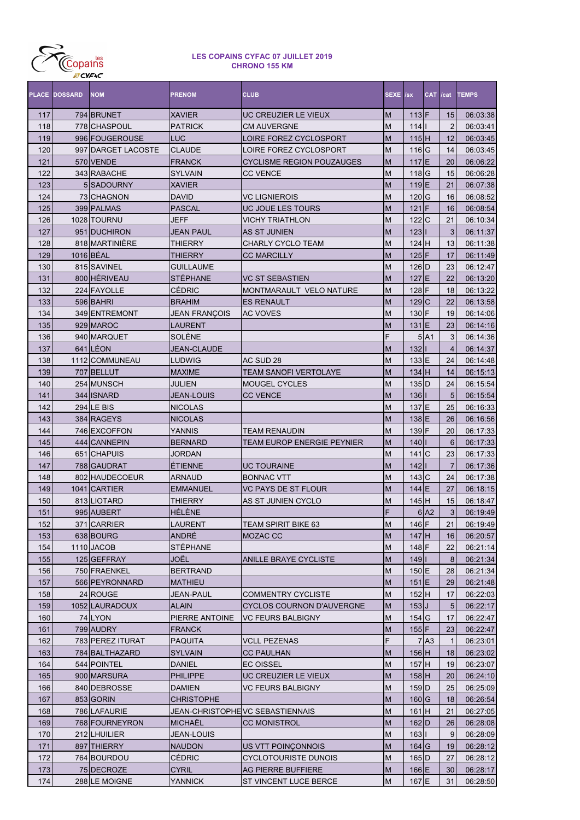

|            | <b>PLACE DOSSARD</b> | <b>NOM</b>                | <b>PRENOM</b>          | <b>CLUB</b>                                              | SEXE /sx                                                                              |                                     | <b>CAT</b>       | /cat            | <b>TEMPS</b>         |
|------------|----------------------|---------------------------|------------------------|----------------------------------------------------------|---------------------------------------------------------------------------------------|-------------------------------------|------------------|-----------------|----------------------|
| 117        |                      | 794 BRUNET                | <b>XAVIER</b>          | UC CREUZIER LE VIEUX                                     | M                                                                                     | $113$ F                             |                  | 15              | 06:03:38             |
| 118        |                      | 778 CHASPOUL              | <b>PATRICK</b>         | <b>CM AUVERGNE</b>                                       | M                                                                                     | 114                                 |                  | $\overline{2}$  | 06:03:41             |
| 119        |                      | 996 FOUGEROUSE            | LUC                    | LOIRE FOREZ CYCLOSPORT                                   | M                                                                                     | 115H                                |                  | 12              | 06:03:45             |
| 120        |                      | 997 DARGET LACOSTE        | <b>CLAUDE</b>          | LOIRE FOREZ CYCLOSPORT                                   | M                                                                                     | 116 <sub>G</sub>                    |                  | 14              | 06:03:45             |
| 121        |                      | 570 VENDE                 | <b>FRANCK</b>          | <b>CYCLISME REGION POUZAUGES</b>                         | M                                                                                     | 117E                                |                  | 20              | 06:06:22             |
| 122        |                      | 343 RABACHE               | <b>SYLVAIN</b>         | <b>CC VENCE</b>                                          | M                                                                                     | 118 <sub>G</sub>                    |                  | 15              | 06:06:28             |
| 123        |                      | 5 SADOURNY                | <b>XAVIER</b>          |                                                          | M                                                                                     | $119$ E                             |                  | 21              | 06:07:38             |
| 124        |                      | 73 CHAGNON                | <b>DAVID</b>           | <b>VC LIGNIEROIS</b>                                     | M                                                                                     | $120$ <sup><math>\mid</math>G</sup> |                  | 16              | 06:08:52             |
| 125        |                      | 399 PALMAS                | <b>PASCAL</b>          | UC JOUE LES TOURS                                        | M                                                                                     | $121$ F                             |                  | 16              | 06:08:54             |
| 126        |                      | 1028 TOURNU               | JEFF                   | <b>VICHY TRIATHLON</b>                                   | M                                                                                     | $122$ <sub>C</sub>                  |                  | 21              | 06:10:34             |
| 127        |                      | 951 DUCHIRON              | <b>JEAN PAUL</b>       | AS ST JUNIEN                                             | M                                                                                     | 123                                 |                  | 3               | 06:11:37             |
| 128        |                      | 818 MARTINIERE            | <b>THIERRY</b>         | <b>CHARLY CYCLO TEAM</b>                                 | M                                                                                     | $124$ H                             |                  | 13              | 06:11:38             |
| 129        |                      | 1016 BÉAL                 | <b>THIERRY</b>         | <b>CC MARCILLY</b>                                       | M                                                                                     | $125$ F                             |                  | 17              | 06:11:49             |
| 130        |                      | 815 SAVINEL               | <b>GUILLAUME</b>       |                                                          | M                                                                                     | $126$ D                             |                  | 23              | 06:12:47             |
| 131        |                      | 800 HÉRIVEAU              | <b>STÉPHANE</b>        | <b>VC ST SEBASTIEN</b>                                   | M                                                                                     | $127$ E                             |                  | 22              | 06:13:20             |
| 132        |                      | 224 FAYOLLE               | <b>CÉDRIC</b>          | MONTMARAULT VELO NATURE                                  | M                                                                                     | $128$ F                             |                  | 18              | 06:13:22             |
| 133        |                      | 596 BAHRI                 | <b>BRAHIM</b>          | <b>ES RENAULT</b>                                        | M                                                                                     | $129$ <sub>C</sub>                  |                  | 22              | 06:13:58             |
| 134        |                      | 349 ENTREMONT             | <b>JEAN FRANÇOIS</b>   | <b>AC VOVES</b>                                          | M                                                                                     | 130 F                               |                  | 19              | 06:14:06             |
| 135        |                      | 929 MAROC                 | <b>LAURENT</b>         |                                                          | M                                                                                     | $131$ $E$                           |                  | 23              | 06:14:16             |
| 136        |                      | 940 MARQUET               | SOLÈNE                 |                                                          | F                                                                                     |                                     | 5 A1             | 3               | 06:14:36             |
| 137        |                      | 641 LÉON                  | <b>JEAN-CLAUDE</b>     |                                                          | M                                                                                     | 132                                 |                  | $\overline{4}$  | 06:14:37             |
| 138        |                      | 1112 COMMUNEAU            | <b>LUDWIG</b>          | AC SUD 28                                                | M                                                                                     | 133 E                               |                  | 24              | 06:14:48             |
| 139        |                      | 707 BELLUT                | <b>MAXIME</b>          | <b>TEAM SANOFI VERTOLAYE</b>                             | M                                                                                     | $134$ H                             |                  | 14              | 06:15:13             |
|            |                      |                           | <b>JULIEN</b>          |                                                          | M                                                                                     | $135$ D                             |                  |                 |                      |
| 140        |                      | 254 MUNSCH                |                        | <b>MOUGEL CYCLES</b>                                     |                                                                                       |                                     |                  | 24              | 06:15:54             |
| 141        |                      | 344 ISNARD                | <b>JEAN-LOUIS</b>      | <b>CC VENCE</b>                                          | M                                                                                     | 136                                 |                  | $5\overline{)}$ | 06:15:54             |
| 142        |                      | 294 LE BIS                | <b>NICOLAS</b>         |                                                          | M                                                                                     | 137 E                               |                  | 25              | 06:16:33             |
| 143        |                      | 384 RAGEYS                | <b>NICOLAS</b>         |                                                          | M                                                                                     | 138 E                               |                  | 26              | 06:16:56             |
| 144        |                      | 746 EXCOFFON              | YANNIS                 | <b>TEAM RENAUDIN</b>                                     | M                                                                                     | 139 F                               |                  | 20              | 06:17:33             |
| 145        |                      | 444 CANNEPIN              | <b>BERNARD</b>         | <b>TEAM EUROP ENERGIE PEYNIER</b>                        | M                                                                                     | 140                                 |                  | $6\phantom{1}6$ | 06:17:33             |
| 146        |                      | 651 CHAPUIS               | JORDAN                 |                                                          | M                                                                                     | 141 <sub>C</sub>                    |                  | 23              | 06:17:33             |
| 147        |                      | 788 GAUDRAT               | ÉTIENNE                | <b>UC TOURAINE</b>                                       | M                                                                                     | 142                                 |                  | $\overline{7}$  | 06:17:36             |
| 148        |                      | 802 HAUDECOEUR            | ARNAUD                 | <b>BONNAC VTT</b>                                        | M                                                                                     | 143 C                               |                  | 24              | 06:17:38             |
| 149        |                      | 1041 CARTIER              | <b>EMMANUEL</b>        | <b>VC PAYS DE ST FLOUR</b>                               | M                                                                                     | $144$ E                             |                  | 27              | 06:18:15             |
| 150        |                      | 813 LIOTARD               | <b>THIERRY</b>         | AS ST JUNIEN CYCLO                                       | M                                                                                     | 145 H                               |                  | 15              | 06:18:47             |
| 151        |                      | 995 AUBERT                | HÉLÈNE                 |                                                          | F                                                                                     |                                     | 6 A2             | $\mathbf{3}$    | 06:19:49             |
| 152        |                      | 371 CARRIER               | LAURENT                | <b>TEAM SPIRIT BIKE 63</b>                               | M                                                                                     | 146 F                               |                  | 21              | 06:19:49             |
| 153        |                      | 638 BOURG                 | <b>ANDRÉ</b>           | MOZAC CC                                                 | M                                                                                     | 147H                                |                  | 16              | 06:20:57             |
| 154        |                      | 1110 JACOB                | STÉPHANE               |                                                          | M                                                                                     | 148 F                               |                  | 22              | 06:21:14             |
| 155        |                      | 125 GEFFRAY               | JOËL                   | <b>ANILLE BRAYE CYCLISTE</b>                             | $\mathsf{M}% _{T}=\mathsf{M}_{T}\!\left( a,b\right) ,\ \mathsf{M}_{T}=\mathsf{M}_{T}$ | $149$                               |                  | 8               | 06:21:34             |
| 156        |                      | 750 FRAENKEL              | <b>BERTRAND</b>        |                                                          | M                                                                                     | 150E                                |                  | 28              | 06:21:34             |
| 157        |                      | 566 PEYRONNARD            | <b>MATHIEU</b>         |                                                          | $\mathsf{M}% _{T}=\mathsf{M}_{T}\!\left( a,b\right) ,\ \mathsf{M}_{T}=\mathsf{M}_{T}$ | $151$  E                            |                  | 29              | 06:21:48             |
| 158        |                      | 24 ROUGE                  | JEAN-PAUL              | <b>COMMENTRY CYCLISTE</b>                                | M                                                                                     | $152$ H                             |                  | 17              | 06:22:03             |
| 159        |                      | 1052 LAURADOUX            | <b>ALAIN</b>           | <b>CYCLOS COURNON D'AUVERGNE</b>                         | M                                                                                     | $153$ J                             |                  | $5\phantom{.0}$ | 06:22:17             |
| 160        |                      | 74 LYON                   | PIERRE ANTOINE         | <b>VC FEURS BALBIGNY</b>                                 | M                                                                                     | $154$ <sup>G</sup>                  |                  | 17              | 06:22:47             |
| 161        |                      | 799 AUDRY                 | <b>FRANCK</b>          |                                                          | $\mathsf{M}% _{T}=\mathsf{M}_{T}\!\left( a,b\right) ,\ \mathsf{M}_{T}=\mathsf{M}_{T}$ | $155$ F                             |                  | 23              | 06:22:47             |
| 162        |                      | 783 PEREZ ITURAT          | <b>PAQUITA</b>         | <b>VCLL PEZENAS</b>                                      | F                                                                                     |                                     | 7 A <sub>3</sub> | 1               | 06:23:01             |
| 163        |                      | 784 BALTHAZARD            | <b>SYLVAIN</b>         | <b>CC PAULHAN</b>                                        | M                                                                                     | $156$ H                             |                  | 18              | 06:23:02             |
| 164        |                      | 544 POINTEL               | <b>DANIEL</b>          | <b>EC OISSEL</b>                                         | M                                                                                     | 157 H                               |                  | 19              | 06:23:07             |
| 165        |                      | 900 MARSURA               | <b>PHILIPPE</b>        | UC CREUZIER LE VIEUX                                     | $\mathsf{M}% _{T}=\mathsf{M}_{T}\!\left( a,b\right) ,\ \mathsf{M}_{T}=\mathsf{M}_{T}$ | $158$ H                             |                  | 20              | 06:24:10             |
| 166        |                      | 840 DEBROSSE              | <b>DAMIEN</b>          | <b>VC FEURS BALBIGNY</b>                                 | M                                                                                     | 159 <sub>D</sub>                    |                  | 25              | 06:25:09             |
| 167        |                      | 853 GORIN                 | <b>CHRISTOPHE</b>      |                                                          | M                                                                                     | $160$ <sup>G</sup>                  |                  | 18              | 06:26:54             |
| 168        |                      | 786 LAFAURIE              |                        | JEAN-CHRISTOPHEVC SEBASTIENNAIS                          | M                                                                                     | 161 <sub>H</sub>                    |                  | 21              | 06:27:05             |
| 169        |                      | 768 FOURNEYRON            | <b>MICHAËL</b>         | <b>CC MONISTROL</b>                                      | M                                                                                     | $162$ D                             |                  | 26              | 06:28:08             |
| 170        |                      | 212 LHUILIER              | JEAN-LOUIS             |                                                          | M                                                                                     | 163                                 |                  | $9$             | 06:28:09             |
|            |                      |                           |                        | US VTT POINÇONNOIS                                       | M                                                                                     | $164$ <sup>G</sup>                  |                  | 19              | 06:28:12             |
|            |                      |                           |                        |                                                          |                                                                                       |                                     |                  |                 |                      |
| 171        |                      | 897 THIERRY               | <b>NAUDON</b>          |                                                          |                                                                                       |                                     |                  |                 |                      |
| 172<br>173 |                      | 764 BOURDOU<br>75 DECROZE | <b>CÉDRIC</b><br>CYRIL | <b>CYCLOTOURISTE DUNOIS</b><br><b>AG PIERRE BUFFIERE</b> | M<br>M                                                                                | 165 <sub>D</sub><br>166 E           |                  | 27<br>30        | 06:28:12<br>06:28:17 |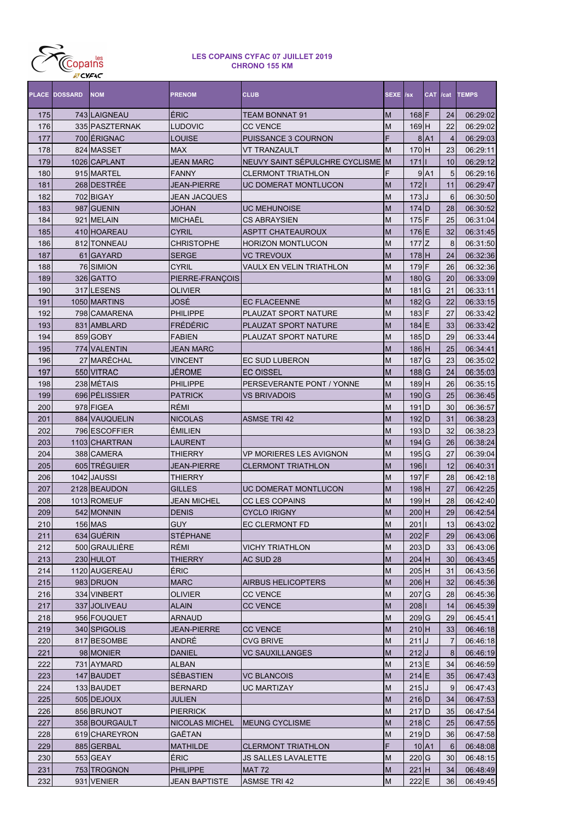

|     | <b>PLACE DOSSARD</b> | <b>NOM</b>     | <b>PRENOM</b>       | <b>CLUB</b>                    | SEXE /sx |                                 | CAT /cat  |                | <b>TEMPS</b> |
|-----|----------------------|----------------|---------------------|--------------------------------|----------|---------------------------------|-----------|----------------|--------------|
| 175 |                      | 743 LAIGNEAU   | <b>ÉRIC</b>         | <b>TEAM BONNAT 91</b>          | М        | $168$ F                         |           | 24             | 06:29:02     |
| 176 |                      | 335 PASZTERNAK | LUDOVIC             | <b>CC VENCE</b>                | М        | 169 H                           |           | 22             | 06:29:02     |
| 177 |                      | 700 ÉRIGNAC    | LOUISE              | PUISSANCE 3 COURNON            | F        |                                 | $8$ $A1$  | $\overline{4}$ | 06:29:03     |
| 178 |                      | 824 MASSET     | <b>MAX</b>          | <b>VT TRANZAULT</b>            | М        | 170 H                           |           | 23             | 06:29:11     |
| 179 |                      | 1026 CAPLANT   | <b>JEAN MARC</b>    | NEUVY SAINT SÉPULCHRE CYCLISME | <b>M</b> | $171$                           |           | 10             | 06:29:12     |
| 180 |                      | 915 MARTEL     | <b>FANNY</b>        | <b>CLERMONT TRIATHLON</b>      | F        |                                 | 9 A1      | 5              | 06:29:16     |
| 181 |                      | 268 DESTRÉE    | <b>JEAN-PIERRE</b>  | UC DOMERAT MONTLUCON           | М        | $172$                           |           | 11             | 06:29:47     |
| 182 |                      | 702 BIGAY      | <b>JEAN JACQUES</b> |                                | M        | $173$ J                         |           | 6              | 06:30:50     |
| 183 | 987                  | <b>GUENIN</b>  | JOHAN               | <b>UC MEHUNOISE</b>            | M        | $174$ D                         |           | 28             | 06:30:52     |
| 184 | 921                  | <b>MELAIN</b>  | MICHAËL             | <b>CS ABRAYSIEN</b>            | M        | $175$ F                         |           | 25             | 06:31:04     |
| 185 |                      | 410 HOAREAU    | <b>CYRIL</b>        | <b>ASPTT CHATEAUROUX</b>       | M        | $176$ E                         |           | 32             | 06:31:45     |
| 186 |                      | 812 TONNEAU    | <b>CHRISTOPHE</b>   | <b>HORIZON MONTLUCON</b>       | M        | $177$ Z                         |           | 8              | 06:31:50     |
| 187 |                      | 61 GAYARD      | <b>SERGE</b>        | <b>VC TREVOUX</b>              | M        | $178$ H                         |           | 24             | 06:32:36     |
| 188 |                      | 76 SIMION      | <b>CYRIL</b>        | VAULX EN VELIN TRIATHLON       | M        | 179 F                           |           | 26             | 06:32:36     |
| 189 |                      | 326 GATTO      | PIERRE-FRANÇOIS     |                                | M        | 180 G                           |           | 20             | 06:33:09     |
| 190 |                      | 317 LESENS     | OLIVIER             |                                | М        | $181$ G                         |           | 21             | 06:33:11     |
| 191 |                      | 1050 MARTINS   | JOSÉ                | <b>EC FLACEENNE</b>            | M        | 182 G                           |           | 22             | 06:33:15     |
| 192 |                      | 798 CAMARENA   | <b>PHILIPPE</b>     | PLAUZAT SPORT NATURE           | M        | $183$ F                         |           | 27             | 06:33:42     |
| 193 | 831                  | <b>AMBLARD</b> | <b>FRÉDÉRIC</b>     | PLAUZAT SPORT NATURE           | M        | $184$ E                         |           | 33             | 06:33:42     |
| 194 |                      | 859 GOBY       | <b>FABIEN</b>       | PLAUZAT SPORT NATURE           | M        | $185$ D                         |           | 29             | 06:33:44     |
| 195 |                      | 774 VALENTIN   | <b>JEAN MARC</b>    |                                | M        | $186$ H                         |           | 25             | 06:34:41     |
| 196 |                      | 27 MARÉCHAL    | <b>VINCENT</b>      | <b>EC SUD LUBERON</b>          | M        | 187 G                           |           | 23             | 06:35:02     |
| 197 |                      | 550 VITRAC     | JÉROME              | <b>EC OISSEL</b>               | M        | $188$ <sup>G</sup>              |           | 24             | 06:35:03     |
| 198 |                      | 238 MÉTAIS     | <b>PHILIPPE</b>     | PERSEVERANTE PONT / YONNE      | M        | 189 H                           |           | 26             | 06:35:15     |
| 199 |                      | 696 PÉLISSIER  | <b>PATRICK</b>      | <b>VS BRIVADOIS</b>            | M        | 190 G                           |           | 25             | 06:36:45     |
| 200 |                      | 978 FIGEA      | RÉMI                |                                | M        | $191$ <sub>D</sub>              |           | 30             | 06:36:57     |
| 201 |                      | 884 VAUQUELIN  | <b>NICOLAS</b>      | <b>ASMSE TRI 42</b>            | M        | $192$ D                         |           | 31             | 06:38:23     |
| 202 |                      | 796 ESCOFFIER  | <b>ÉMILIEN</b>      |                                | M        | $193$ D                         |           | 32             | 06:38:23     |
| 203 |                      | 1103 CHARTRAN  | LAURENT             |                                | M        | $194$ <sup>G</sup>              |           | 26             | 06:38:24     |
| 204 |                      | 388 CAMERA     | THIERRY             | VP MORIERES LES AVIGNON        | M        | $195$ G                         |           | 27             | 06:39:04     |
| 205 |                      | 605 TRÉGUIER   | JEAN-PIERRE         | <b>CLERMONT TRIATHLON</b>      | M        | $196$                           |           | 12             | 06:40:31     |
| 206 |                      | 1042 JAUSSI    | THIERRY             |                                | M        | 197 F                           |           | 28             | 06:42:18     |
| 207 |                      | 2128 BEAUDON   | <b>GILLES</b>       | UC DOMERAT MONTLUCON           | M        | $198$ H                         |           | 27             | 06:42:25     |
| 208 |                      | 1013 ROMEUF    | <b>JEAN MICHEL</b>  | <b>CC LES COPAINS</b>          | М        | 199H                            |           | 28             | 06:42:40     |
| 209 |                      | 542 MONNIN     | <b>DENIS</b>        | <b>CYCLO IRIGNY</b>            | M        | $200$ H                         |           | 29             | 06:42:54     |
| 210 |                      | 156 MAS        | <b>GUY</b>          | <b>IEC CLERMONT FD</b>         | M        | 201   I                         |           | 13             | 06:43:02     |
| 211 |                      | 634 GUÉRIN     | STÉPHANE            |                                | M        | $202$ F                         |           | 29             | 06:43:06     |
| 212 |                      | 500 GRAULIÈRE  | RÉMI                | <b>VICHY TRIATHLON</b>         | M        | $203$ D                         |           | 33             | 06:43:06     |
| 213 |                      | 230 HULOT      | <b>THIERRY</b>      | AC SUD 28                      | M        | $204$ H                         |           | 30             | 06:43:45     |
| 214 |                      | 1120 AUGEREAU  | ÉRIC                |                                | М        | 205H                            |           | 31             | 06:43:56     |
| 215 |                      | 983 DRUON      | <b>MARC</b>         | <b>AIRBUS HELICOPTERS</b>      | M        | $206$ H                         |           | 32             | 06:45:36     |
| 216 |                      | 334 VINBERT    | OLIVIER             | <b>CC VENCE</b>                | М        | 207 G                           |           | 28             | 06:45:36     |
| 217 |                      | 337 JOLIVEAU   | <b>ALAIN</b>        | <b>CC VENCE</b>                | M        | $208$                           |           | 14             | 06:45:39     |
| 218 |                      | 956 FOUQUET    | <b>ARNAUD</b>       |                                | М        | $209$ <sup><math>G</math></sup> |           | 29             | 06:45:41     |
| 219 |                      | 340 SPIGOLIS   | <b>JEAN-PIERRE</b>  | <b>CC VENCE</b>                | M        | $210$ H                         |           | 33             | 06:46:18     |
| 220 |                      | 817 BESOMBE    | ANDRÉ               | <b>CVG BRIVE</b>               | M        | 211J                            |           | 7              | 06:46:18     |
| 221 |                      | 98 MONIER      | <b>DANIEL</b>       | <b>VC SAUXILLANGES</b>         | M        | 212J                            |           | 8              | 06:46:19     |
| 222 |                      | 731 AYMARD     | ALBAN               |                                | M        | $213$ E                         |           | 34             | 06:46:59     |
| 223 |                      | 147 BAUDET     | SÉBASTIEN           | <b>VC BLANCOIS</b>             | M        | $214$ E                         |           | 35             | 06:47:43     |
| 224 |                      | 133 BAUDET     | <b>BERNARD</b>      | <b>UC MARTIZAY</b>             | М        | 215J                            |           | 9              | 06:47:43     |
| 225 |                      | 505 DEJOUX     | <b>JULIEN</b>       |                                | M        | $216$ D                         |           | 34             | 06:47:53     |
| 226 |                      | 856 BRUNOT     | <b>PIERRICK</b>     |                                | М        | $217$ D                         |           | 35             | 06:47:54     |
| 227 |                      | 358 BOURGAULT  | NICOLAS MICHEL      | <b>MEUNG CYCLISME</b>          | M        | $218$ C                         |           | 25             | 06:47:55     |
| 228 |                      | 619 CHAREYRON  | GAËTAN              |                                | М        | $219$ <sub>D</sub>              |           | 36             | 06:47:58     |
| 229 |                      | 885 GERBAL     | <b>MATHILDE</b>     | <b>CLERMONT TRIATHLON</b>      | F        |                                 | $10$ $A1$ | $6 \,$         | 06:48:08     |
| 230 |                      | 553 GEAY       | ÉRIC                | JS SALLES LAVALETTE            | М        | 220 G                           |           | 30             | 06:48:15     |
| 231 |                      | 753 TROGNON    | PHILIPPE            | <b>MAT 72</b>                  | M        | $221$ H                         |           | 34             | 06:48:49     |
| 232 |                      | 931 VENIER     | JEAN BAPTISTE       | <b>ASMSE TRI 42</b>            | M        | $222$ E                         |           | 36             | 06:49:45     |
|     |                      |                |                     |                                |          |                                 |           |                |              |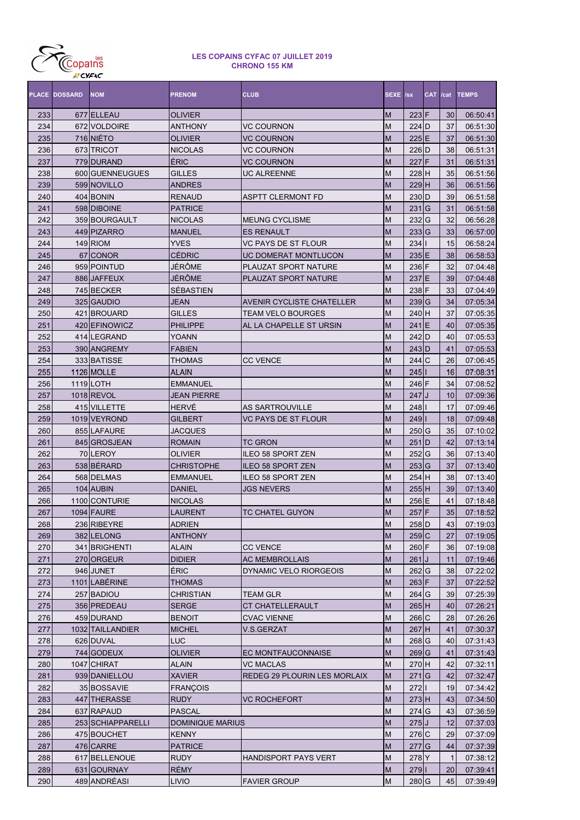

|            | <b>PLACE DOSSARD</b> | <b>NOM</b>        | <b>PRENOM</b>           | <b>CLUB</b>                         | SEXE /sx  |                    | CAT /cat |              | <b>TEMPS</b>         |
|------------|----------------------|-------------------|-------------------------|-------------------------------------|-----------|--------------------|----------|--------------|----------------------|
| 233        |                      | 677 ELLEAU        | OLIVIER                 |                                     | M         | $223$ F            |          | 30           | 06:50:41             |
| 234        |                      | 672 VOLDOIRE      | ANTHONY                 | <b>VC COURNON</b>                   | M         | $224$ D            |          | 37           | 06:51:30             |
| 235        |                      | 716 NIÉTO         | OLIVIER                 | <b>VC COURNON</b>                   | M         | 225E               |          | 37           | 06:51:30             |
| 236        |                      | 673 TRICOT        | <b>NICOLAS</b>          | <b>VC COURNON</b>                   | M         | 226 D              |          | 38           | 06:51:31             |
| 237        |                      | 779 DURAND        | ÉRIC                    | <b>VC COURNON</b>                   | M         | 227 F              |          | 31           | 06:51:31             |
| 238        |                      | 600 GUENNEUGUES   | <b>GILLES</b>           | <b>UC ALREENNE</b>                  | M         | 228 H              |          | 35           | 06:51:56             |
| 239        |                      | 599 NOVILLO       | <b>ANDRES</b>           |                                     | M         | $229$ H            |          | 36           | 06:51:56             |
| 240        |                      | 404 BONIN         | <b>RENAUD</b>           | <b>ASPTT CLERMONT FD</b>            | M         | 230 D              |          | 39           | 06:51:58             |
| 241        |                      | 598 DIBOINE       | <b>PATRICE</b>          |                                     | M         | 231 G              |          | 31           | 06:51:58             |
| 242        |                      | 359 BOURGAULT     | <b>NICOLAS</b>          | <b>MEUNG CYCLISME</b>               | M         | $232$ <sub>G</sub> |          | 32           | 06:56:28             |
| 243        |                      | 449 PIZARRO       | <b>MANUEL</b>           | <b>ES RENAULT</b>                   | M         | $233$ <sup>G</sup> |          | 33           | 06:57:00             |
| 244        |                      | 149 RIOM          | <b>YVES</b>             | <b>VC PAYS DE ST FLOUR</b>          | M         | 234                |          | 15           | 06:58:24             |
| 245        |                      | 67 CONOR          | <b>CÉDRIC</b>           | <b>UC DOMERAT MONTLUCON</b>         | M         | $235$ E            |          | 38           | 06:58:53             |
| 246        |                      | 959 POINTUD       | JÉRÔME                  | PLAUZAT SPORT NATURE                | M         | 236 F              |          | 32           | 07:04:48             |
| 247        |                      | 886 JAFFEUX       | JÉRÔME                  | PLAUZAT SPORT NATURE                | M         | 237 E              |          | 39           | 07:04:48             |
| 248        |                      | 745 BECKER        | SÉBASTIEN               |                                     | M         | 238 F              |          | 33           | 07:04:49             |
| 249        |                      | 325 GAUDIO        | JEAN                    | <b>AVENIR CYCLISTE CHATELLER</b>    | M         | $239$ <sup>G</sup> |          | 34           | 07:05:34             |
| 250        |                      | 421 BROUARD       | <b>GILLES</b>           | <b>TEAM VELO BOURGES</b>            | M         | 240 H              |          | 37           | 07:05:35             |
| 251        |                      | 420 EFINOWICZ     | <b>PHILIPPE</b>         | AL LA CHAPELLE ST URSIN             | M         | $241$  E           |          | 40           | 07:05:35             |
| 252        |                      | 414 LEGRAND       | YOANN                   |                                     | M         | 242 D              |          | 40           | 07:05:53             |
| 253        |                      | 390 ANGREMY       | <b>FABIEN</b>           |                                     | M         | $243$ D            |          | 41           | 07:05:53             |
| 254        |                      | 333 BATISSE       | THOMAS                  | <b>CC VENCE</b>                     | M         | 244C               |          | 26           | 07:06:45             |
|            |                      | 1126 MOLLE        | ALAIN                   |                                     | M         |                    |          | 16           |                      |
| 255<br>256 |                      |                   | <b>EMMANUEL</b>         |                                     | M         | 245                |          | 34           | 07:08:31<br>07:08:52 |
|            |                      | 1119 LOTH         |                         |                                     |           | 246 F              |          |              |                      |
| 257        |                      | 1018 REVOL        | JEAN PIERRE             |                                     | M         | 247                |          | 10           | 07:09:36             |
| 258        |                      | 415 VILLETTE      | <b>HERVÉ</b>            | <b>AS SARTROUVILLE</b>              | M         | 248                |          | 17           | 07:09:46             |
| 259        |                      | 1019 VEYROND      | GILBERT                 | <b>VC PAYS DE ST FLOUR</b>          | M         | 249                |          | 18           | 07:09:48             |
| 260        |                      | 855 LAFAURE       | JACQUES                 |                                     | M         | $250$ <sub>G</sub> |          | 35           | 07:10:02             |
| 261        |                      | 845 GROSJEAN      | <b>ROMAIN</b>           | <b>TC GRON</b>                      | M         | 251 D              |          | 42           | 07:13:14             |
| 262        |                      | 70 LEROY          | OLIVIER                 | <b>ILEO 58 SPORT ZEN</b>            | M         | $252$ <sub>G</sub> |          | 36           | 07:13:40             |
| 263        |                      | 538 BÉRARD        | <b>CHRISTOPHE</b>       | <b>ILEO 58 SPORT ZEN</b>            | M         | $253$ G            |          | 37           | 07:13:40             |
| 264        |                      | 568 DELMAS        | <b>EMMANUEL</b>         | <b>ILEO 58 SPORT ZEN</b>            | M         | 254 H              |          | 38           | 07:13:40             |
| 265        |                      | 104 AUBIN         | <b>DANIEL</b>           | <b>JGS NEVERS</b>                   | M         | 255H               |          | 39           | 07:13:40             |
| 266        |                      | 1100 CONTURIE     | <b>NICOLAS</b>          |                                     | M         | 256 E              |          | 41           | 07:18:48             |
| 267        |                      | 1094 FAURE        | LAURENT                 | <b>TC CHATEL GUYON</b>              | M         | 257                | F        | 35           | 07:18:52             |
| 268        |                      | 236 RIBEYRE       | <b>ADRIEN</b>           |                                     | M         | 258 D              |          | 43           | 07:19:03             |
| 269        |                      | 382 LELONG        | <b>ANTHONY</b>          |                                     | M         | 259C               |          | 27           | 07:19:05             |
| 270        |                      | 341 BRIGHENTI     | ALAIN                   | <b>CC VENCE</b>                     | M         | 260 F              |          | 36           | 07:19:08             |
| 271        |                      | 270 ORGEUR        | <b>DIDIER</b>           | <b>AC MEMBROLLAIS</b>               | ${\sf M}$ | $261$ J            |          | 11           | 07:19:46             |
| 272        |                      | 946 JUNET         | ÉRIC                    | DYNAMIC VELO RIORGEOIS              | M         | $262$ <sub>G</sub> |          | 38           | 07:22:02             |
| 273        |                      | 1101 LABÉRINE     | <b>THOMAS</b>           |                                     | M         | $263$ F            |          | 37           | 07:22:52             |
| 274        |                      | 257 BADIOU        | CHRISTIAN               | <b>TEAM GLR</b>                     | M         | $264$ G            |          | 39           | 07:25:39             |
| 275        |                      | 356 PREDEAU       | <b>SERGE</b>            | <b>CT CHATELLERAULT</b>             | ${\sf M}$ | 265H               |          | 40           | 07:26:21             |
| 276        |                      | 459 DURAND        | <b>BENOIT</b>           | <b>CVAC VIENNE</b>                  | M         | 266 C              |          | 28           | 07:26:26             |
| 277        |                      | 1032 TAILLANDIER  | <b>MICHEL</b>           | V.S.GERZAT                          | M         | $267$ H            |          | 41           | 07:30:37             |
| 278        |                      | 626 DUVAL         | <b>LUC</b>              |                                     | M         | 268 G              |          | 40           | 07:31:43             |
| 279        |                      | 744 GODEUX        | OLIVIER                 | <b>EC MONTFAUCONNAISE</b>           | M         | $269$ <sup>G</sup> |          | 41           | 07:31:43             |
| 280        |                      | 1047 CHIRAT       | ALAIN                   | <b>VC MACLAS</b>                    | M         | 270 H              |          | 42           | 07:32:11             |
| 281        |                      | 939 DANIELLOU     | <b>XAVIER</b>           | <b>REDEG 29 PLOURIN LES MORLAIX</b> | M         | $271$ G            |          | 42           | 07:32:47             |
| 282        |                      | 35 BOSSAVIE       | <b>FRANÇOIS</b>         |                                     | M         | 2721               |          | 19           | 07:34:42             |
| 283        |                      | 447 THERASSE      | <b>RUDY</b>             | <b>VC ROCHEFORT</b>                 | ${\sf M}$ | $273$ H            |          | 43           | 07:34:50             |
| 284        |                      | 637 RAPAUD        | <b>PASCAL</b>           |                                     | M         | $274$ <sup>G</sup> |          | 43           | 07:36:59             |
| 285        |                      | 253 SCHIAPPARELLI | <b>DOMINIQUE MARIUS</b> |                                     | ${\sf M}$ | $275$ J            |          | 12           | 07:37:03             |
| 286        |                      | 475 BOUCHET       | <b>KENNY</b>            |                                     | M         | 276 C              |          | 29           | 07:37:09             |
| 287        |                      | 476 CARRE         | <b>PATRICE</b>          |                                     | M         | $277$ G            |          | 44           | 07:37:39             |
| 288        |                      | 617 BELLENOUE     | <b>RUDY</b>             | HANDISPORT PAYS VERT                | M         | 278 Y              |          | $\mathbf{1}$ | 07:38:12             |
| 289        |                      | 631 GOURNAY       | <b>RÉMY</b>             |                                     | ${\sf M}$ | 279                |          | 20           | 07:39:41             |
| 290        |                      | 489 ANDRÉASI      | LIVIO                   | <b>FAVIER GROUP</b>                 | M         | 280 G              |          | 45           | 07:39:49             |
|            |                      |                   |                         |                                     |           |                    |          |              |                      |